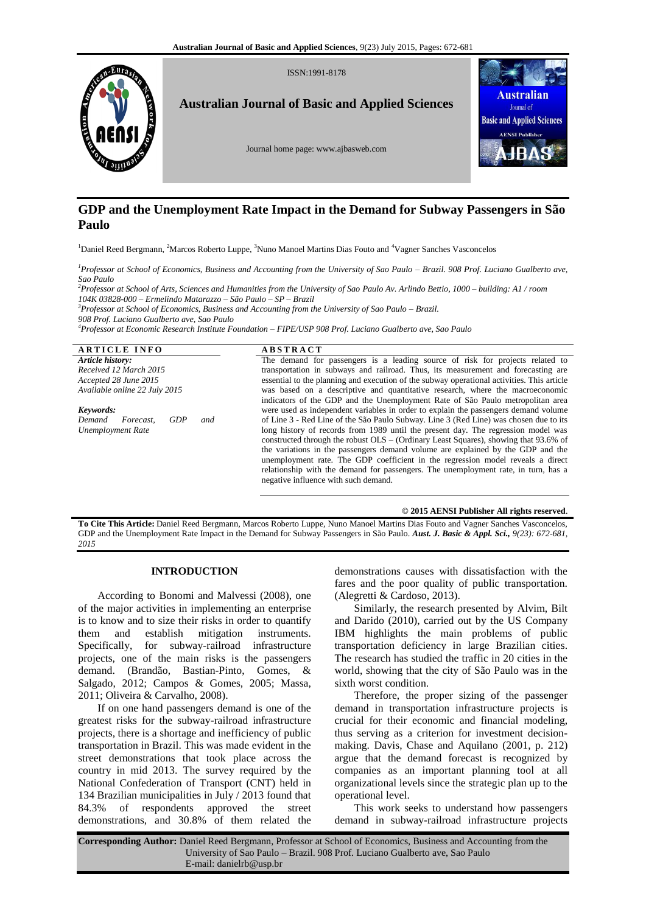

# **GDP and the Unemployment Rate Impact in the Demand for Subway Passengers in São Paulo**

<sup>1</sup>Daniel Reed Bergmann, <sup>2</sup>Marcos Roberto Luppe, <sup>3</sup>Nuno Manoel Martins Dias Fouto and <sup>4</sup>Vagner Sanches Vasconcelos

*<sup>1</sup>Professor at School of Economics, Business and Accounting from the University of Sao Paulo – Brazil. 908 Prof. Luciano Gualberto ave, Sao Paulo*

*<sup>2</sup>Professor at School of Arts, Sciences and Humanities from the University of Sao Paulo Av. Arlindo Bettio, 1000 – building: A1 / room 104K 03828-000 – Ermelindo Matarazzo – São Paulo – SP – Brazil*

*<sup>3</sup>Professor at School of Economics, Business and Accounting from the University of Sao Paulo – Brazil.* 

*908 Prof. Luciano Gualberto ave, Sao Paulo*

*<sup>4</sup>Professor at Economic Research Institute Foundation – FIPE/USP 908 Prof. Luciano Gualberto ave, Sao Paulo*

**A R T I C L E I N F O A B S T R A C T** *Article history: Received 12 March 2015 Accepted 28 June 2015 Available online 22 July 2015 Keywords: Demand Forecast, GDP and Unemployment Rate* The demand for passengers is a leading source of risk for projects related to transportation in subways and railroad. Thus, its measurement and forecasting are essential to the planning and execution of the subway operational activities. This article was based on a descriptive and quantitative research, where the macroeconomic indicators of the GDP and the Unemployment Rate of São Paulo metropolitan area were used as independent variables in order to explain the passengers demand volume of Line 3 - Red Line of the São Paulo Subway. Line 3 (Red Line) was chosen due to its long history of records from 1989 until the present day. The regression model was constructed through the robust OLS – (Ordinary Least Squares), showing that 93.6% of the variations in the passengers demand volume are explained by the GDP and the unemployment rate. The GDP coefficient in the regression model reveals a direct relationship with the demand for passengers. The unemployment rate, in turn, has a negative influence with such demand.

#### **© 2015 AENSI Publisher All rights reserved**.

**To Cite This Article:** Daniel Reed Bergmann, Marcos Roberto Luppe, Nuno Manoel Martins Dias Fouto and Vagner Sanches Vasconcelos, GDP and the Unemployment Rate Impact in the Demand for Subway Passengers in São Paulo. *Aust. J. Basic & Appl. Sci., 9(23): 672-681, 2015*

# **INTRODUCTION**

According to Bonomi and Malvessi (2008), one of the major activities in implementing an enterprise is to know and to size their risks in order to quantify them and establish mitigation instruments. Specifically, for subway-railroad infrastructure projects, one of the main risks is the passengers demand. (Brandão, Bastian-Pinto, Gomes, & Salgado, 2012; Campos & Gomes, 2005; Massa, 2011; Oliveira & Carvalho, 2008).

If on one hand passengers demand is one of the greatest risks for the subway-railroad infrastructure projects, there is a shortage and inefficiency of public transportation in Brazil. This was made evident in the street demonstrations that took place across the country in mid 2013. The survey required by the National Confederation of Transport (CNT) held in 134 Brazilian municipalities in July / 2013 found that 84.3% of respondents approved the street demonstrations, and 30.8% of them related the

demonstrations causes with dissatisfaction with the fares and the poor quality of public transportation. (Alegretti & Cardoso, 2013).

Similarly, the research presented by Alvim, Bilt and Darido (2010), carried out by the US Company IBM highlights the main problems of public transportation deficiency in large Brazilian cities. The research has studied the traffic in 20 cities in the world, showing that the city of São Paulo was in the sixth worst condition.

Therefore, the proper sizing of the passenger demand in transportation infrastructure projects is crucial for their economic and financial modeling, thus serving as a criterion for investment decisionmaking. Davis, Chase and Aquilano (2001, p. 212) argue that the demand forecast is recognized by companies as an important planning tool at all organizational levels since the strategic plan up to the operational level.

This work seeks to understand how passengers demand in subway-railroad infrastructure projects

**Corresponding Author:** Daniel Reed Bergmann, Professor at School of Economics, Business and Accounting from the University of Sao Paulo – Brazil. 908 Prof. Luciano Gualberto ave, Sao Paulo E-mail: danielrb@usp.br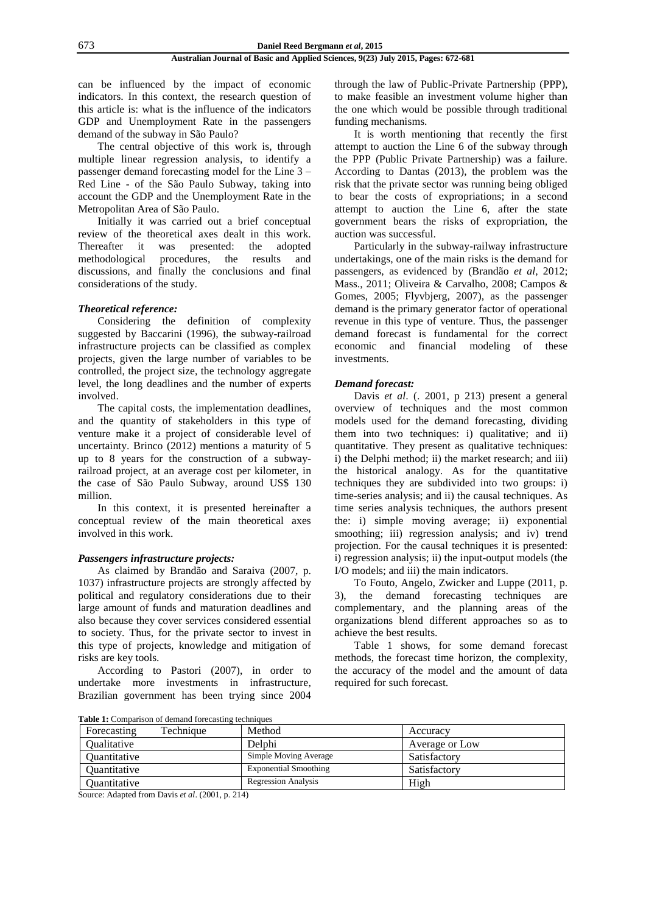can be influenced by the impact of economic indicators. In this context, the research question of this article is: what is the influence of the indicators GDP and Unemployment Rate in the passengers demand of the subway in São Paulo?

The central objective of this work is, through multiple linear regression analysis, to identify a passenger demand forecasting model for the Line 3 – Red Line - of the São Paulo Subway, taking into account the GDP and the Unemployment Rate in the Metropolitan Area of São Paulo.

Initially it was carried out a brief conceptual review of the theoretical axes dealt in this work. Thereafter it was presented: the adopted methodological procedures, the results and discussions, and finally the conclusions and final considerations of the study.

# *Theoretical reference:*

Considering the definition of complexity suggested by Baccarini (1996), the subway-railroad infrastructure projects can be classified as complex projects, given the large number of variables to be controlled, the project size, the technology aggregate level, the long deadlines and the number of experts involved.

The capital costs, the implementation deadlines, and the quantity of stakeholders in this type of venture make it a project of considerable level of uncertainty. Brinco (2012) mentions a maturity of 5 up to 8 years for the construction of a subwayrailroad project, at an average cost per kilometer, in the case of São Paulo Subway, around US\$ 130 million.

In this context, it is presented hereinafter a conceptual review of the main theoretical axes involved in this work.

# *Passengers infrastructure projects:*

As claimed by Brandão and Saraiva (2007, p. 1037) infrastructure projects are strongly affected by political and regulatory considerations due to their large amount of funds and maturation deadlines and also because they cover services considered essential to society. Thus, for the private sector to invest in this type of projects, knowledge and mitigation of risks are key tools.

According to Pastori (2007), in order to undertake more investments in infrastructure, Brazilian government has been trying since 2004

through the law of Public-Private Partnership (PPP), to make feasible an investment volume higher than the one which would be possible through traditional funding mechanisms.

It is worth mentioning that recently the first attempt to auction the Line 6 of the subway through the PPP (Public Private Partnership) was a failure. According to Dantas (2013), the problem was the risk that the private sector was running being obliged to bear the costs of expropriations; in a second attempt to auction the Line 6, after the state government bears the risks of expropriation, the auction was successful.

Particularly in the subway-railway infrastructure undertakings, one of the main risks is the demand for passengers, as evidenced by (Brandão *et al*, 2012; Mass., 2011; Oliveira & Carvalho, 2008; Campos & Gomes, 2005; Flyvbjerg, 2007), as the passenger demand is the primary generator factor of operational revenue in this type of venture. Thus, the passenger demand forecast is fundamental for the correct economic and financial modeling of these investments.

# *Demand forecast:*

Davis *et al*. (. 2001, p 213) present a general overview of techniques and the most common models used for the demand forecasting, dividing them into two techniques: i) qualitative; and ii) quantitative. They present as qualitative techniques: i) the Delphi method; ii) the market research; and iii) the historical analogy. As for the quantitative techniques they are subdivided into two groups: i) time-series analysis; and ii) the causal techniques. As time series analysis techniques, the authors present the: i) simple moving average; ii) exponential smoothing; iii) regression analysis; and iv) trend projection. For the causal techniques it is presented: i) regression analysis; ii) the input-output models (the I/O models; and iii) the main indicators.

To Fouto, Angelo, Zwicker and Luppe (2011, p. 3), the demand forecasting techniques are complementary, and the planning areas of the organizations blend different approaches so as to achieve the best results.

Table 1 shows, for some demand forecast methods, the forecast time horizon, the complexity, the accuracy of the model and the amount of data required for such forecast.

**Table 1:** Comparison of demand forecasting techniques

| Forecasting                | Technique | Method                       | Accuracy       |
|----------------------------|-----------|------------------------------|----------------|
| <i><b>Oualitative</b></i>  |           | Delphi                       | Average or Low |
| Quantitative               |           | Simple Moving Average        | Satisfactory   |
| <i><b>Ouantitative</b></i> |           | <b>Exponential Smoothing</b> | Satisfactory   |
| Ouantitative               |           | <b>Regression Analysis</b>   | High           |

Source: Adapted from Davis *et al*. (2001, p. 214)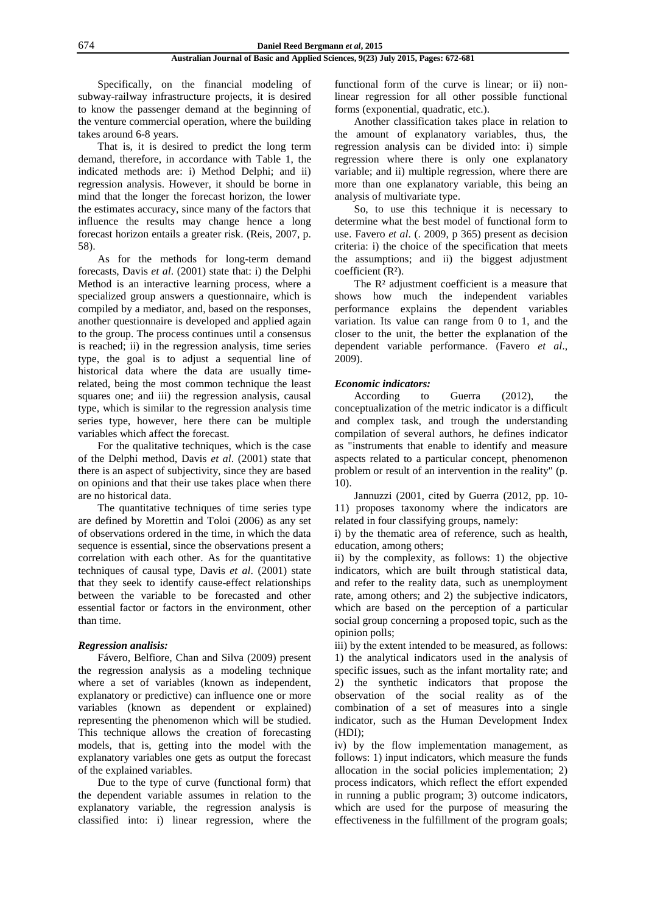Specifically, on the financial modeling of subway-railway infrastructure projects, it is desired to know the passenger demand at the beginning of the venture commercial operation, where the building takes around 6-8 years.

That is, it is desired to predict the long term demand, therefore, in accordance with Table 1, the indicated methods are: i) Method Delphi; and ii) regression analysis. However, it should be borne in mind that the longer the forecast horizon, the lower the estimates accuracy, since many of the factors that influence the results may change hence a long forecast horizon entails a greater risk. (Reis, 2007, p. 58).

As for the methods for long-term demand forecasts, Davis *et al*. (2001) state that: i) the Delphi Method is an interactive learning process, where a specialized group answers a questionnaire, which is compiled by a mediator, and, based on the responses, another questionnaire is developed and applied again to the group. The process continues until a consensus is reached; ii) in the regression analysis, time series type, the goal is to adjust a sequential line of historical data where the data are usually timerelated, being the most common technique the least squares one; and iii) the regression analysis, causal type, which is similar to the regression analysis time series type, however, here there can be multiple variables which affect the forecast.

For the qualitative techniques, which is the case of the Delphi method, Davis *et al*. (2001) state that there is an aspect of subjectivity, since they are based on opinions and that their use takes place when there are no historical data.

The quantitative techniques of time series type are defined by Morettin and Toloi (2006) as any set of observations ordered in the time, in which the data sequence is essential, since the observations present a correlation with each other. As for the quantitative techniques of causal type, Davis *et al*. (2001) state that they seek to identify cause-effect relationships between the variable to be forecasted and other essential factor or factors in the environment, other than time.

# *Regression analisis:*

Fávero, Belfiore, Chan and Silva (2009) present the regression analysis as a modeling technique where a set of variables (known as independent, explanatory or predictive) can influence one or more variables (known as dependent or explained) representing the phenomenon which will be studied. This technique allows the creation of forecasting models, that is, getting into the model with the explanatory variables one gets as output the forecast of the explained variables.

Due to the type of curve (functional form) that the dependent variable assumes in relation to the explanatory variable, the regression analysis is classified into: i) linear regression, where the functional form of the curve is linear; or ii) nonlinear regression for all other possible functional forms (exponential, quadratic, etc.).

Another classification takes place in relation to the amount of explanatory variables, thus, the regression analysis can be divided into: i) simple regression where there is only one explanatory variable; and ii) multiple regression, where there are more than one explanatory variable, this being an analysis of multivariate type.

So, to use this technique it is necessary to determine what the best model of functional form to use. Favero *et al*. (. 2009, p 365) present as decision criteria: i) the choice of the specification that meets the assumptions; and ii) the biggest adjustment coefficient (R²).

The  $\mathbb{R}^2$  adjustment coefficient is a measure that shows how much the independent variables performance explains the dependent variables variation. Its value can range from 0 to 1, and the closer to the unit, the better the explanation of the dependent variable performance. (Favero *et al*., 2009).

### *Economic indicators:*

According to Guerra (2012), the conceptualization of the metric indicator is a difficult and complex task, and trough the understanding compilation of several authors, he defines indicator as "instruments that enable to identify and measure aspects related to a particular concept, phenomenon problem or result of an intervention in the reality" (p. 10).

Jannuzzi (2001, cited by Guerra (2012, pp. 10- 11) proposes taxonomy where the indicators are related in four classifying groups, namely:

i) by the thematic area of reference, such as health, education, among others;

ii) by the complexity, as follows: 1) the objective indicators, which are built through statistical data, and refer to the reality data, such as unemployment rate, among others; and 2) the subjective indicators, which are based on the perception of a particular social group concerning a proposed topic, such as the opinion polls;

iii) by the extent intended to be measured, as follows: 1) the analytical indicators used in the analysis of specific issues, such as the infant mortality rate; and 2) the synthetic indicators that propose the observation of the social reality as of the combination of a set of measures into a single indicator, such as the Human Development Index (HDI);

iv) by the flow implementation management, as follows: 1) input indicators, which measure the funds allocation in the social policies implementation; 2) process indicators, which reflect the effort expended in running a public program; 3) outcome indicators, which are used for the purpose of measuring the effectiveness in the fulfillment of the program goals;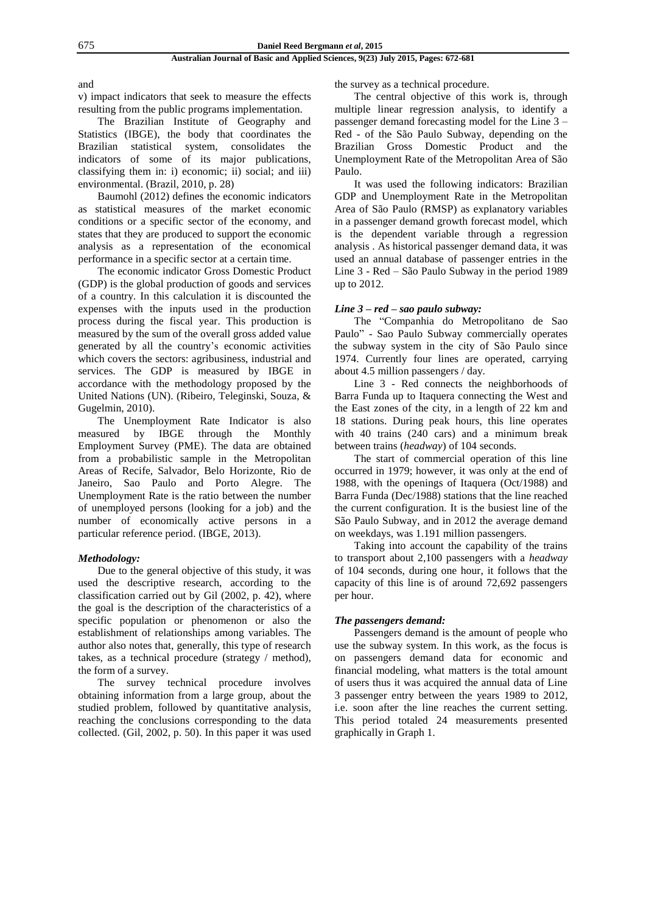and

v) impact indicators that seek to measure the effects resulting from the public programs implementation.

The Brazilian Institute of Geography and Statistics (IBGE), the body that coordinates the Brazilian statistical system, consolidates the indicators of some of its major publications, classifying them in: i) economic; ii) social; and iii) environmental. (Brazil, 2010, p. 28)

Baumohl (2012) defines the economic indicators as statistical measures of the market economic conditions or a specific sector of the economy, and states that they are produced to support the economic analysis as a representation of the economical performance in a specific sector at a certain time.

The economic indicator Gross Domestic Product (GDP) is the global production of goods and services of a country. In this calculation it is discounted the expenses with the inputs used in the production process during the fiscal year. This production is measured by the sum of the overall gross added value generated by all the country's economic activities which covers the sectors: agribusiness, industrial and services. The GDP is measured by IBGE in accordance with the methodology proposed by the United Nations (UN). (Ribeiro, Teleginski, Souza, & Gugelmin, 2010).

The Unemployment Rate Indicator is also measured by IBGE through the Monthly Employment Survey (PME). The data are obtained from a probabilistic sample in the Metropolitan Areas of Recife, Salvador, Belo Horizonte, Rio de Janeiro, Sao Paulo and Porto Alegre. The Unemployment Rate is the ratio between the number of unemployed persons (looking for a job) and the number of economically active persons in a particular reference period. (IBGE, 2013).

### *Methodology:*

Due to the general objective of this study, it was used the descriptive research, according to the classification carried out by Gil (2002, p. 42), where the goal is the description of the characteristics of a specific population or phenomenon or also the establishment of relationships among variables. The author also notes that, generally, this type of research takes, as a technical procedure (strategy / method), the form of a survey.

The survey technical procedure involves obtaining information from a large group, about the studied problem, followed by quantitative analysis, reaching the conclusions corresponding to the data collected. (Gil, 2002, p. 50). In this paper it was used the survey as a technical procedure.

The central objective of this work is, through multiple linear regression analysis, to identify a passenger demand forecasting model for the Line 3 – Red - of the São Paulo Subway, depending on the Brazilian Gross Domestic Product and the Unemployment Rate of the Metropolitan Area of São Paulo.

It was used the following indicators: Brazilian GDP and Unemployment Rate in the Metropolitan Area of São Paulo (RMSP) as explanatory variables in a passenger demand growth forecast model, which is the dependent variable through a regression analysis . As historical passenger demand data, it was used an annual database of passenger entries in the Line 3 - Red – São Paulo Subway in the period 1989 up to 2012.

### *Line 3 – red – sao paulo subway:*

The "Companhia do Metropolitano de Sao Paulo" - Sao Paulo Subway commercially operates the subway system in the city of São Paulo since 1974. Currently four lines are operated, carrying about 4.5 million passengers / day.

Line 3 - Red connects the neighborhoods of Barra Funda up to Itaquera connecting the West and the East zones of the city, in a length of 22 km and 18 stations. During peak hours, this line operates with 40 trains (240 cars) and a minimum break between trains (*headway*) of 104 seconds.

The start of commercial operation of this line occurred in 1979; however, it was only at the end of 1988, with the openings of Itaquera (Oct/1988) and Barra Funda (Dec/1988) stations that the line reached the current configuration. It is the busiest line of the São Paulo Subway, and in 2012 the average demand on weekdays, was 1.191 million passengers.

Taking into account the capability of the trains to transport about 2,100 passengers with a *headway* of 104 seconds, during one hour, it follows that the capacity of this line is of around 72,692 passengers per hour.

#### *The passengers demand:*

Passengers demand is the amount of people who use the subway system. In this work, as the focus is on passengers demand data for economic and financial modeling, what matters is the total amount of users thus it was acquired the annual data of Line 3 passenger entry between the years 1989 to 2012, i.e. soon after the line reaches the current setting. This period totaled 24 measurements presented graphically in Graph 1.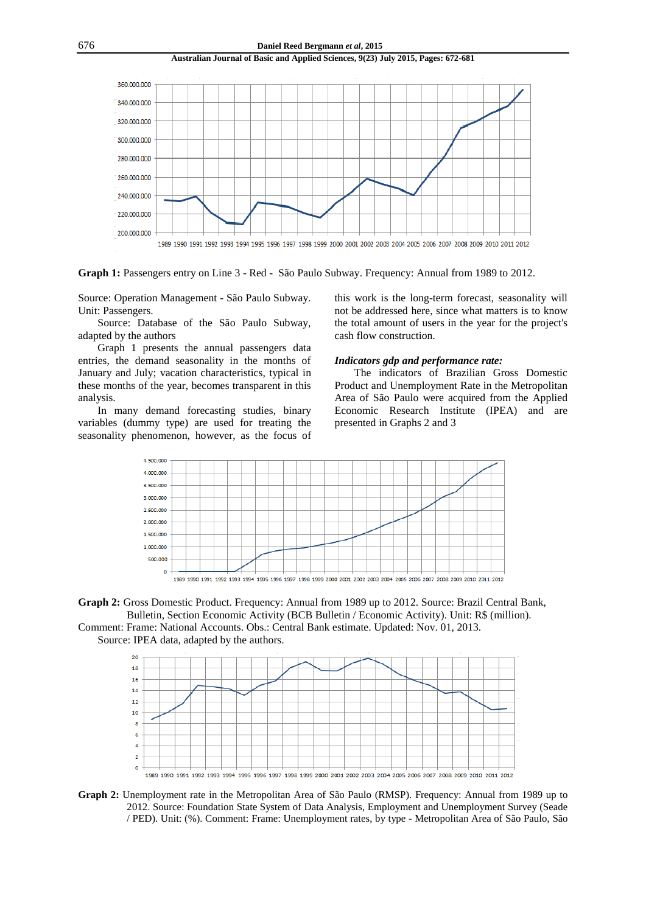

**Graph 1:** Passengers entry on Line 3 - Red - São Paulo Subway. Frequency: Annual from 1989 to 2012.

Source: Operation Management - São Paulo Subway. Unit: Passengers.

Source: Database of the São Paulo Subway, adapted by the authors

Graph 1 presents the annual passengers data entries, the demand seasonality in the months of January and July; vacation characteristics, typical in these months of the year, becomes transparent in this analysis.

In many demand forecasting studies, binary variables (dummy type) are used for treating the seasonality phenomenon, however, as the focus of this work is the long-term forecast, seasonality will not be addressed here, since what matters is to know the total amount of users in the year for the project's cash flow construction.

### *Indicators gdp and performance rate:*

The indicators of Brazilian Gross Domestic Product and Unemployment Rate in the Metropolitan Area of São Paulo were acquired from the Applied Economic Research Institute (IPEA) and are presented in Graphs 2 and 3







Comment: Frame: National Accounts. Obs.: Central Bank estimate. Updated: Nov. 01, 2013. Source: IPEA data, adapted by the authors.



**Graph 2:** Unemployment rate in the Metropolitan Area of São Paulo (RMSP). Frequency: Annual from 1989 up to 2012. Source: Foundation State System of Data Analysis, Employment and Unemployment Survey (Seade / PED). Unit: (%). Comment: Frame: Unemployment rates, by type - Metropolitan Area of São Paulo, São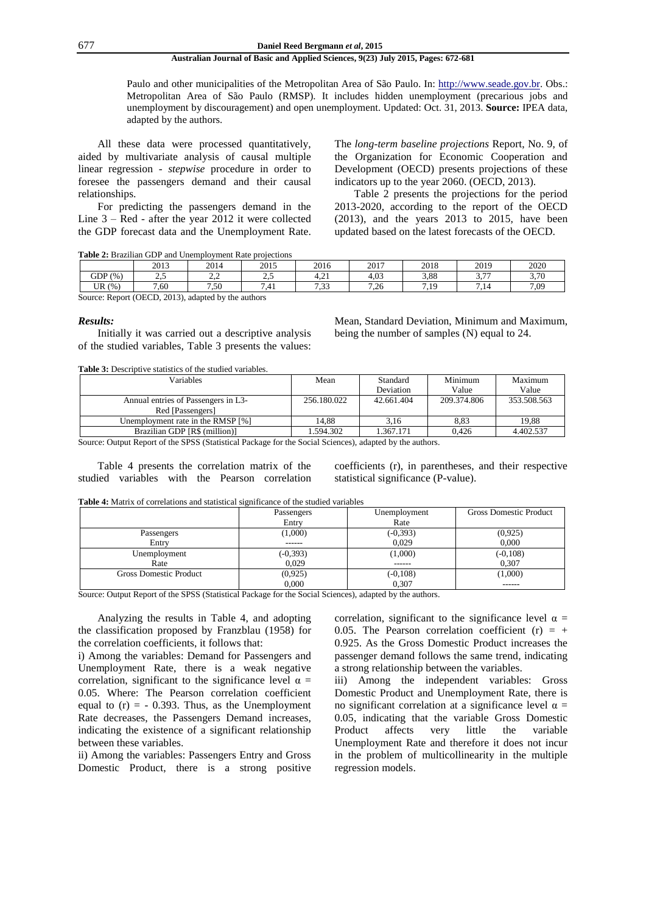Paulo and other municipalities of the Metropolitan Area of São Paulo. In: [http://www.seade.gov.br.](http://www.seade.gov.br/) Obs.: Metropolitan Area of São Paulo (RMSP). It includes hidden unemployment (precarious jobs and unemployment by discouragement) and open unemployment. Updated: Oct. 31, 2013. **Source:** IPEA data, adapted by the authors.

All these data were processed quantitatively, aided by multivariate analysis of causal multiple linear regression - *stepwise* procedure in order to foresee the passengers demand and their causal relationships.

For predicting the passengers demand in the Line 3 – Red - after the year 2012 it were collected the GDP forecast data and the Unemployment Rate. The *long-term baseline projections* Report, No. 9, of the Organization for Economic Cooperation and Development (OECD) presents projections of these indicators up to the year 2060. (OECD, 2013).

Table 2 presents the projections for the period 2013-2020, according to the report of the OECD (2013), and the years 2013 to 2015, have been updated based on the latest forecasts of the OECD.

**Table 2:** Brazilian GDP and Unemployment Rate projections

|                                                        | 2013            | 2014            | 2015                   | 2016                              | 2017 | 2018     | 2019         | 2020               |  |
|--------------------------------------------------------|-----------------|-----------------|------------------------|-----------------------------------|------|----------|--------------|--------------------|--|
| GDP(%)                                                 | <u>ົ</u><br>ن ک | $\sim$<br>سترمت | $\sim$ $\epsilon$<br>ت | 4.21                              | 4.03 | 3.88     | $\sim$ $\pi$ | 2.70<br><u>. v</u> |  |
| (96)<br>UR                                             | 7.60            | 7.50            | .41                    | $\sim$<br>$\overline{ }$<br>ככ. ' | 7.26 | 719<br>. | - 14         | 7.09               |  |
| 2013), adapted by the authors<br>Source: Report (OECD, |                 |                 |                        |                                   |      |          |              |                    |  |

#### *Results:*

Initially it was carried out a descriptive analysis of the studied variables, Table 3 presents the values: Mean, Standard Deviation, Minimum and Maximum, being the number of samples (N) equal to 24.

**Table 3:** Descriptive statistics of the studied variables.

| Variables                                               | Mean        | Standard   | Minimum     | Maximum     |
|---------------------------------------------------------|-------------|------------|-------------|-------------|
|                                                         |             | Deviation  | Value       | Value       |
| Annual entries of Passengers in L3-<br>Red [Passengers] | 256.180.022 | 42.661.404 | 209.374.806 | 353.508.563 |
| Unemployment rate in the RMSP [%]                       | 14.88       | 3,16       | 8.83        | 19,88       |
| Brazilian GDP [R\$ (million)]                           | .594.302    | 1.367.171  | 0.426       | 4.402.537   |

Source: Output Report of the SPSS (Statistical Package for the Social Sciences), adapted by the authors.

Table 4 presents the correlation matrix of the studied variables with the Pearson correlation coefficients (r), in parentheses, and their respective statistical significance (P-value).

**Table 4:** Matrix of correlations and statistical significance of the studied variables

|                               | Passengers  | Unemployment | <b>Gross Domestic Product</b> |
|-------------------------------|-------------|--------------|-------------------------------|
|                               | Entry       | Rate         |                               |
| Passengers                    | (1,000)     | $(-0, 393)$  | (0,925)                       |
| Entry                         | ------      | 0.029        | 0.000                         |
| Unemployment                  | $(-0, 393)$ | (1,000)      | $(-0, 108)$                   |
| Rate                          | 0.029       | ------       | 0.307                         |
| <b>Gross Domestic Product</b> | (0,925)     | $(-0,108)$   | (1,000)                       |
|                               | 0,000       | 0,307        | ------                        |

Source: Output Report of the SPSS (Statistical Package for the Social Sciences), adapted by the authors.

Analyzing the results in Table 4, and adopting the classification proposed by Franzblau (1958) for the correlation coefficients, it follows that:

i) Among the variables: Demand for Passengers and Unemployment Rate, there is a weak negative correlation, significant to the significance level  $\alpha$  = 0.05. Where: The Pearson correlation coefficient equal to  $(r) = -0.393$ . Thus, as the Unemployment Rate decreases, the Passengers Demand increases, indicating the existence of a significant relationship between these variables.

ii) Among the variables: Passengers Entry and Gross Domestic Product, there is a strong positive correlation, significant to the significance level  $\alpha$  = 0.05. The Pearson correlation coefficient  $(r) = +$ 0.925. As the Gross Domestic Product increases the passenger demand follows the same trend, indicating a strong relationship between the variables.

iii) Among the independent variables: Gross Domestic Product and Unemployment Rate, there is no significant correlation at a significance level  $α =$ 0.05, indicating that the variable Gross Domestic Product affects very little the variable Unemployment Rate and therefore it does not incur in the problem of multicollinearity in the multiple regression models.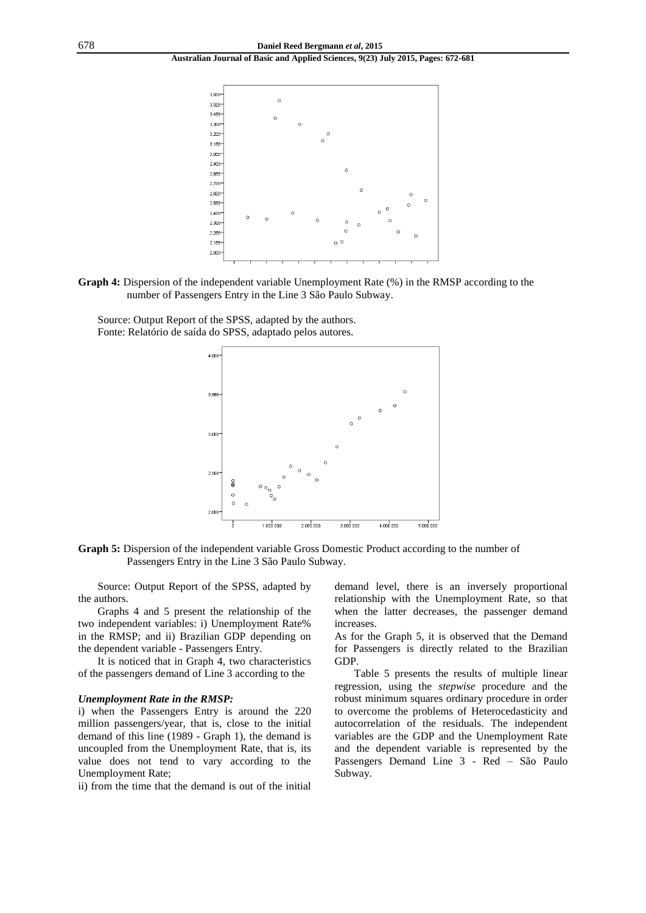

**Graph 4:** Dispersion of the independent variable Unemployment Rate (%) in the RMSP according to the number of Passengers Entry in the Line 3 São Paulo Subway.

Source: Output Report of the SPSS, adapted by the authors. Fonte: Relatório de saída do SPSS, adaptado pelos autores.



**Graph 5:** Dispersion of the independent variable Gross Domestic Product according to the number of Passengers Entry in the Line 3 São Paulo Subway.

Source: Output Report of the SPSS, adapted by the authors.

Graphs 4 and 5 present the relationship of the two independent variables: i) Unemployment Rate% in the RMSP; and ii) Brazilian GDP depending on the dependent variable - Passengers Entry.

It is noticed that in Graph 4, two characteristics of the passengers demand of Line 3 according to the

#### *Unemployment Rate in the RMSP:*

i) when the Passengers Entry is around the 220 million passengers/year, that is, close to the initial demand of this line (1989 - Graph 1), the demand is uncoupled from the Unemployment Rate, that is, its value does not tend to vary according to the Unemployment Rate;

ii) from the time that the demand is out of the initial

demand level, there is an inversely proportional relationship with the Unemployment Rate, so that when the latter decreases, the passenger demand increases.

As for the Graph 5, it is observed that the Demand for Passengers is directly related to the Brazilian GDP.

Table 5 presents the results of multiple linear regression, using the *stepwise* procedure and the robust minimum squares ordinary procedure in order to overcome the problems of Heterocedasticity and autocorrelation of the residuals. The independent variables are the GDP and the Unemployment Rate and the dependent variable is represented by the Passengers Demand Line 3 - Red – São Paulo Subway.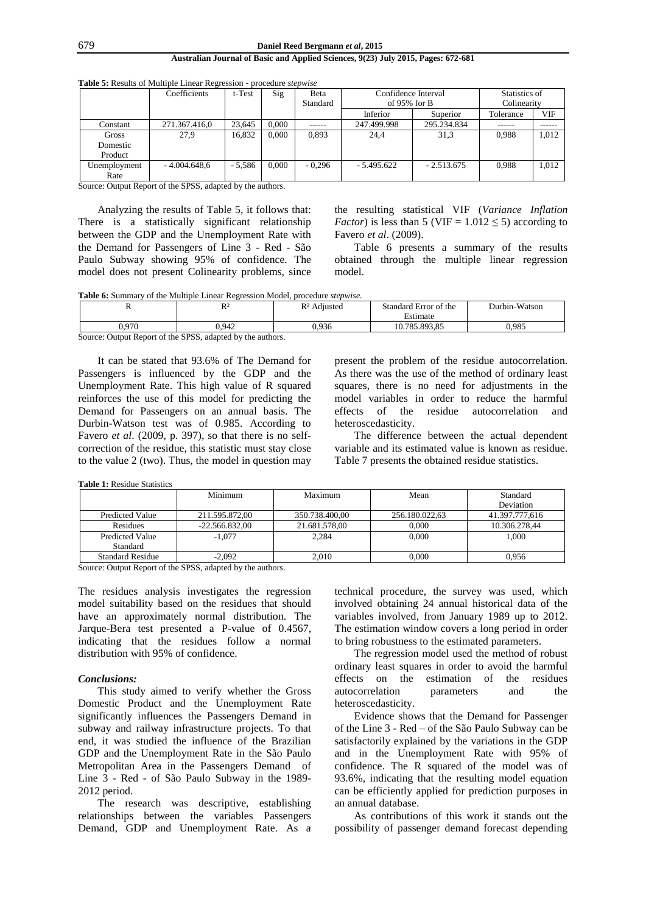|              | Coefficients   | t-Test   | Sig   | Beta     | Confidence Interval |              | Statistics of |       |
|--------------|----------------|----------|-------|----------|---------------------|--------------|---------------|-------|
|              |                |          |       | Standard | of 95% for $B$      |              | Colinearity   |       |
|              |                |          |       |          | Inferior            | Superior     | Tolerance     | VIF   |
| Constant     | 271.367.416,0  | 23.645   | 0.000 | ------   | 247.499.998         | 295.234.834  | ------        |       |
| Gross        | 27,9           | 16,832   | 0.000 | 0.893    | 24,4                | 31,3         | 0.988         | 1.012 |
| Domestic     |                |          |       |          |                     |              |               |       |
| Product      |                |          |       |          |                     |              |               |       |
| Unemployment | $-4.004.648.6$ | $-5.586$ | 0.000 | $-0.296$ | $-5.495.622$        | $-2.513.675$ | 0.988         | 1.012 |
| Rate         |                |          |       |          |                     |              |               |       |

**Table 5:** Results of Multiple Linear Regression - procedure *stepwise*

Source: Output Report of the SPSS, adapted by the authors.

Analyzing the results of Table 5, it follows that: There is a statistically significant relationship between the GDP and the Unemployment Rate with the Demand for Passengers of Line 3 - Red - São Paulo Subway showing 95% of confidence. The model does not present Colinearity problems, since the resulting statistical VIF (*Variance Inflation Factor*) is less than 5 (VIF =  $1.012 \le 5$ ) according to Favero *et al*. (2009).

Table 6 presents a summary of the results obtained through the multiple linear regression model.

**Table 6:** Summary of the Multiple Linear Regression Model, procedure *stepwise.*

|                                                            | $R^2$ | $R2$ Adjusted | Standard Error of the | Durbin-Watson |  |  |  |  |
|------------------------------------------------------------|-------|---------------|-----------------------|---------------|--|--|--|--|
|                                                            |       |               | Estimate              |               |  |  |  |  |
| 0.970                                                      | 0.942 | 0.936         | 10.785.893.85         | 0.985         |  |  |  |  |
| Source: Output Report of the SPSS, adapted by the authors. |       |               |                       |               |  |  |  |  |

It can be stated that 93.6% of The Demand for Passengers is influenced by the GDP and the Unemployment Rate. This high value of R squared reinforces the use of this model for predicting the Demand for Passengers on an annual basis. The Durbin-Watson test was of 0.985. According to Favero *et al*. (2009, p. 397), so that there is no selfcorrection of the residue, this statistic must stay close to the value 2 (two). Thus, the model in question may present the problem of the residue autocorrelation. As there was the use of the method of ordinary least squares, there is no need for adjustments in the model variables in order to reduce the harmful effects of the residue autocorrelation and heteroscedasticity.

The difference between the actual dependent variable and its estimated value is known as residue. Table 7 presents the obtained residue statistics.

**Table 1:** Residue Statistics

|                                    | Minimum          | Maximum        | Mean           | Standard<br>Deviation |
|------------------------------------|------------------|----------------|----------------|-----------------------|
| <b>Predicted Value</b>             | 211.595.872.00   | 350.738.400,00 | 256.180.022.63 | 41.397.777.616        |
| Residues                           | $-22.566.832.00$ | 21.681.578.00  | 0.000          | 10.306.278.44         |
| <b>Predicted Value</b><br>Standard | $-1.077$         | 2.284          | 0.000          | 1.000                 |
| <b>Standard Residue</b>            | $-2.092$         | 2.010          | 0.000          | 0.956                 |

Source: Output Report of the SPSS, adapted by the authors.

The residues analysis investigates the regression model suitability based on the residues that should have an approximately normal distribution. The Jarque-Bera test presented a P-value of 0.4567, indicating that the residues follow a normal distribution with 95% of confidence.

#### *Conclusions:*

This study aimed to verify whether the Gross Domestic Product and the Unemployment Rate significantly influences the Passengers Demand in subway and railway infrastructure projects. To that end, it was studied the influence of the Brazilian GDP and the Unemployment Rate in the São Paulo Metropolitan Area in the Passengers Demand of Line 3 - Red - of São Paulo Subway in the 1989- 2012 period.

The research was descriptive, establishing relationships between the variables Passengers Demand, GDP and Unemployment Rate. As a technical procedure, the survey was used, which involved obtaining 24 annual historical data of the variables involved, from January 1989 up to 2012. The estimation window covers a long period in order to bring robustness to the estimated parameters.

The regression model used the method of robust ordinary least squares in order to avoid the harmful effects on the estimation of the residues autocorrelation parameters and the heteroscedasticity.

Evidence shows that the Demand for Passenger of the Line 3 - Red – of the São Paulo Subway can be satisfactorily explained by the variations in the GDP and in the Unemployment Rate with 95% of confidence. The R squared of the model was of 93.6%, indicating that the resulting model equation can be efficiently applied for prediction purposes in an annual database.

As contributions of this work it stands out the possibility of passenger demand forecast depending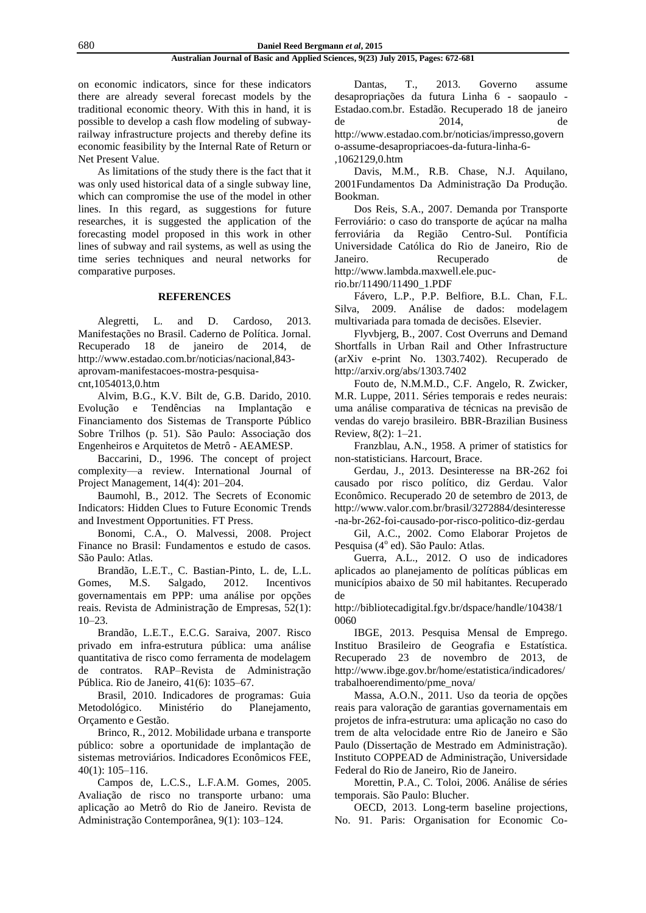on economic indicators, since for these indicators there are already several forecast models by the traditional economic theory. With this in hand, it is possible to develop a cash flow modeling of subwayrailway infrastructure projects and thereby define its economic feasibility by the Internal Rate of Return or Net Present Value.

As limitations of the study there is the fact that it was only used historical data of a single subway line, which can compromise the use of the model in other lines. In this regard, as suggestions for future researches, it is suggested the application of the forecasting model proposed in this work in other lines of subway and rail systems, as well as using the time series techniques and neural networks for comparative purposes.

# **REFERENCES**

Alegretti, L. and D. Cardoso, 2013. Manifestações no Brasil. Caderno de Política. Jornal. Recuperado 18 de janeiro de 2014, de [http://www.estadao.com.br/noticias/nacional,843](http://www.estadao.com.br/noticias/nacional,843-aprovam-manifestacoes-mostra-pesquisa-cnt,1054013,0.htm) [aprovam-manifestacoes-mostra-pesquisa](http://www.estadao.com.br/noticias/nacional,843-aprovam-manifestacoes-mostra-pesquisa-cnt,1054013,0.htm)[cnt,1054013,0.htm](http://www.estadao.com.br/noticias/nacional,843-aprovam-manifestacoes-mostra-pesquisa-cnt,1054013,0.htm)

Alvim, B.G., K.V. Bilt de, G.B. Darido, 2010. Evolução e Tendências na Implantação e Financiamento dos Sistemas de Transporte Público Sobre Trilhos (p. 51). São Paulo: Associação dos Engenheiros e Arquitetos de Metrô - AEAMESP.

Baccarini, D., 1996. The concept of project complexity—a review. International Journal of Project Management, 14(4): 201–204.

Baumohl, B., 2012. The Secrets of Economic Indicators: Hidden Clues to Future Economic Trends and Investment Opportunities. FT Press.

Bonomi, C.A., O. Malvessi, 2008. Project Finance no Brasil: Fundamentos e estudo de casos. São Paulo: Atlas.

Brandão, L.E.T., C. Bastian-Pinto, L. de, L.L. Gomes, M.S. Salgado, 2012. Incentivos governamentais em PPP: uma análise por opções reais. Revista de Administração de Empresas, 52(1): 10–23.

Brandão, L.E.T., E.C.G. Saraiva, 2007. Risco privado em infra-estrutura pública: uma análise quantitativa de risco como ferramenta de modelagem de contratos. RAP–Revista de Administração Pública. Rio de Janeiro, 41(6): 1035–67.

Brasil, 2010. Indicadores de programas: Guia Metodológico. Ministério do Planejamento, Orçamento e Gestão.

Brinco, R., 2012. Mobilidade urbana e transporte público: sobre a oportunidade de implantação de sistemas metroviários. Indicadores Econômicos FEE, 40(1): 105–116.

Campos de, L.C.S., L.F.A.M. Gomes, 2005. Avaliação de risco no transporte urbano: uma aplicação ao Metrô do Rio de Janeiro. Revista de Administração Contemporânea, 9(1): 103–124.

Dantas, T., 2013. Governo assume desapropriações da futura Linha 6 - saopaulo - Estadao.com.br. Estadão. Recuperado 18 de janeiro de 2014, de [http://www.estadao.com.br/noticias/impresso,govern](http://www.estadao.com.br/noticias/impresso,governo-assume-desapropriacoes-da-futura-linha-6-,1062129,0.htm) [o-assume-desapropriacoes-da-futura-linha-6-](http://www.estadao.com.br/noticias/impresso,governo-assume-desapropriacoes-da-futura-linha-6-,1062129,0.htm) [,1062129,0.htm](http://www.estadao.com.br/noticias/impresso,governo-assume-desapropriacoes-da-futura-linha-6-,1062129,0.htm)

Davis, M.M., R.B. Chase, N.J. Aquilano, 2001Fundamentos Da Administração Da Produção. Bookman.

Dos Reis, S.A., 2007. Demanda por Transporte Ferroviário: o caso do transporte de açúcar na malha ferroviária da Região Centro-Sul. Pontíficia Universidade Católica do Rio de Janeiro, Rio de Janeiro. Recuperado de [http://www.lambda.maxwell.ele.puc-](http://www.lambda.maxwell.ele.puc-rio.br/11490/11490_1.PDF)

[rio.br/11490/11490\\_1.PDF](http://www.lambda.maxwell.ele.puc-rio.br/11490/11490_1.PDF)

Fávero, L.P., P.P. Belfiore, B.L. Chan, F.L. Silva, 2009. Análise de dados: modelagem multivariada para tomada de decisões. Elsevier.

Flyvbjerg, B., 2007. Cost Overruns and Demand Shortfalls in Urban Rail and Other Infrastructure (arXiv e-print No. 1303.7402). Recuperado de <http://arxiv.org/abs/1303.7402>

Fouto de, N.M.M.D., C.F. Angelo, R. Zwicker, M.R. Luppe, 2011. Séries temporais e redes neurais: uma análise comparativa de técnicas na previsão de vendas do varejo brasileiro. BBR-Brazilian Business Review, 8(2): 1–21.

Franzblau, A.N., 1958. A primer of statistics for non-statisticians. Harcourt, Brace.

Gerdau, J., 2013. Desinteresse na BR-262 foi causado por risco político, diz Gerdau. Valor Econômico. Recuperado 20 de setembro de 2013, de [http://www.valor.com.br/brasil/3272884/desinteresse](http://www.valor.com.br/brasil/3272884/desinteresse-na-br-262-foi-causado-por-risco-politico-diz-gerdau) [-na-br-262-foi-causado-por-risco-politico-diz-gerdau](http://www.valor.com.br/brasil/3272884/desinteresse-na-br-262-foi-causado-por-risco-politico-diz-gerdau)

Gil, A.C., 2002. Como Elaborar Projetos de Pesquisa (4º ed). São Paulo: Atlas.

Guerra, A.L., 2012. O uso de indicadores aplicados ao planejamento de políticas públicas em municípios abaixo de 50 mil habitantes. Recuperado de

[http://bibliotecadigital.fgv.br/dspace/handle/10438/1](http://bibliotecadigital.fgv.br/dspace/handle/10438/10060) [0060](http://bibliotecadigital.fgv.br/dspace/handle/10438/10060)

IBGE, 2013. Pesquisa Mensal de Emprego. Instituo Brasileiro de Geografia e Estatística. Recuperado 23 de novembro de 2013, de [http://www.ibge.gov.br/home/estatistica/indicadores/](http://www.ibge.gov.br/home/estatistica/indicadores/trabalhoerendimento/pme_nova/) [trabalhoerendimento/pme\\_nova/](http://www.ibge.gov.br/home/estatistica/indicadores/trabalhoerendimento/pme_nova/)

Massa, A.O.N., 2011. Uso da teoria de opções reais para valoração de garantias governamentais em projetos de infra-estrutura: uma aplicação no caso do trem de alta velocidade entre Rio de Janeiro e São Paulo (Dissertação de Mestrado em Administração). Instituto COPPEAD de Administração, Universidade Federal do Rio de Janeiro, Rio de Janeiro.

Morettin, P.A., C. Toloi, 2006. Análise de séries temporais. São Paulo: Blucher.

OECD, 2013. Long-term baseline projections, No. 91. Paris: Organisation for Economic Co-